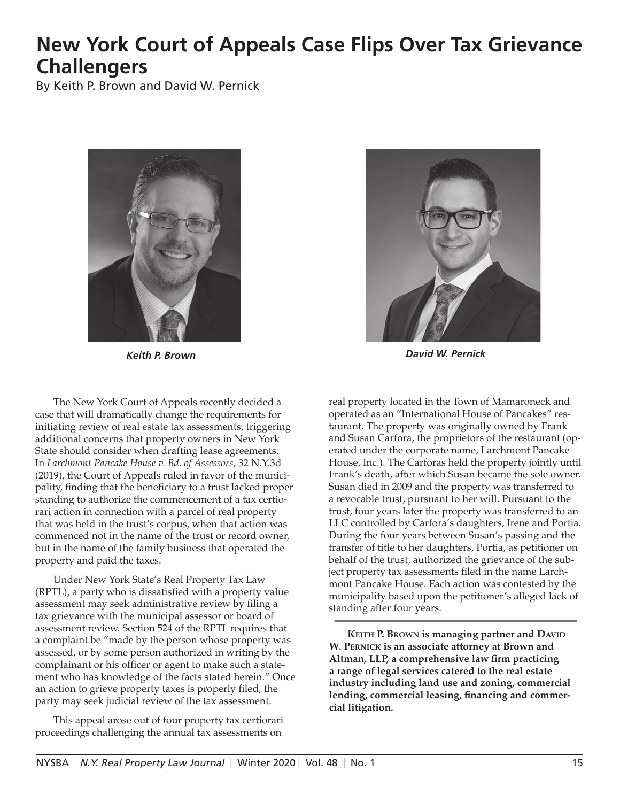## **New York Court of Appeals Case Flips Over Tax Grievance Challengers**

By Keith P. Brown and David W. Pernick



The New York Court of Appeals recently decided a case that will dramatically change the requirements for initiating review of real estate tax assessments, triggering additional concerns that property owners in New York State should consider when drafting lease agreements. In *Larchmont Pancake House v. Bd. of Assessors*, 32 N.Y.3d (2019), the Court of Appeals ruled in favor of the municipality, finding that the beneficiary to a trust lacked proper standing to authorize the commencement of a tax certiorari action in connection with a parcel of real property that was held in the trust's corpus, when that action was commenced not in the name of the trust or record owner, but in the name of the family business that operated the property and paid the taxes.

Under New York State's Real Property Tax Law (RPTL), a party who is dissatisfied with a property value assessment may seek administrative review by filing a tax grievance with the municipal assessor or board of assessment review. Section 524 of the RPTL requires that a complaint be "made by the person whose property was assessed, or by some person authorized in writing by the complainant or his officer or agent to make such a statement who has knowledge of the facts stated herein." Once an action to grieve property taxes is properly filed, the party may seek judicial review of the tax assessment.

This appeal arose out of four property tax certiorari proceedings challenging the annual tax assessments on



*Keith P. Brown David W. Pernick*

real property located in the Town of Mamaroneck and operated as an "International House of Pancakes" restaurant. The property was originally owned by Frank and Susan Carfora, the proprietors of the restaurant (operated under the corporate name, Larchmont Pancake House, Inc.). The Carforas held the property jointly until Frank's death, after which Susan became the sole owner. Susan died in 2009 and the property was transferred to a revocable trust, pursuant to her will. Pursuant to the trust, four years later the property was transferred to an LLC controlled by Carfora's daughters, Irene and Portia. During the four years between Susan's passing and the transfer of title to her daughters, Portia, as petitioner on behalf of the trust, authorized the grievance of the subject property tax assessments filed in the name Larchmont Pancake House. Each action was contested by the municipality based upon the petitioner's alleged lack of standing after four years.

**KEITH P. BROWN is managing partner and DAVID W. Pernick is an associate attorney at Brown and Altman, LLP, a comprehensive law firm practicing a range of legal services catered to the real estate industry including land use and zoning, commercial lending, commercial leasing, financing and commercial litigation.**